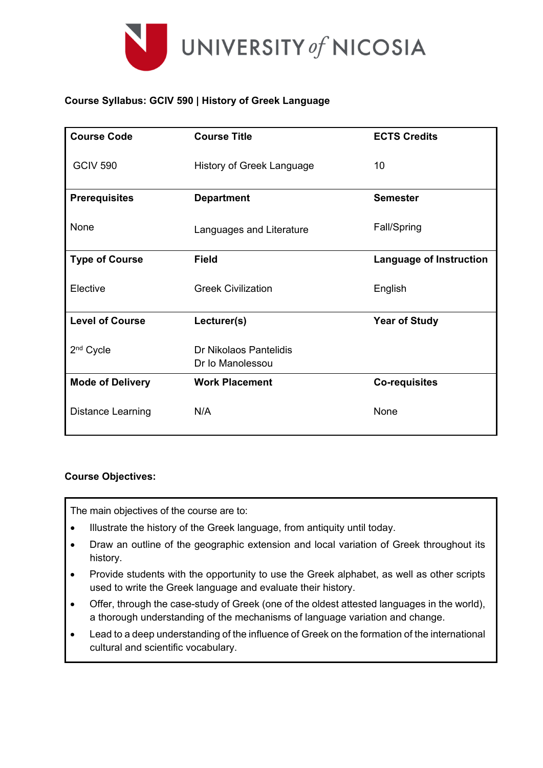

### **Course Syllabus: GCIV 590 | History of Greek Language**

| <b>Course Code</b>       | <b>Course Title</b>                        | <b>ECTS Credits</b>            |  |
|--------------------------|--------------------------------------------|--------------------------------|--|
| <b>GCIV 590</b>          | History of Greek Language                  | 10                             |  |
| <b>Prerequisites</b>     | <b>Department</b>                          | <b>Semester</b>                |  |
| None                     | Languages and Literature                   | Fall/Spring                    |  |
| <b>Type of Course</b>    | <b>Field</b>                               | <b>Language of Instruction</b> |  |
| Elective                 | <b>Greek Civilization</b>                  | English                        |  |
| <b>Level of Course</b>   | Lecturer(s)                                | <b>Year of Study</b>           |  |
| 2 <sup>nd</sup> Cycle    | Dr Nikolaos Pantelidis<br>Dr Io Manolessou |                                |  |
| <b>Mode of Delivery</b>  | <b>Work Placement</b>                      | <b>Co-requisites</b>           |  |
| <b>Distance Learning</b> | N/A                                        | None                           |  |

### **Course Objectives:**

The main objectives of the course are to:

- Illustrate the history of the Greek language, from antiquity until today.
- Draw an outline of the geographic extension and local variation of Greek throughout its history.
- Provide students with the opportunity to use the Greek alphabet, as well as other scripts used to write the Greek language and evaluate their history.
- Offer, through the case-study of Greek (one of the oldest attested languages in the world), a thorough understanding of the mechanisms of language variation and change.
- Lead to a deep understanding of the influence of Greek on the formation of the international cultural and scientific vocabulary.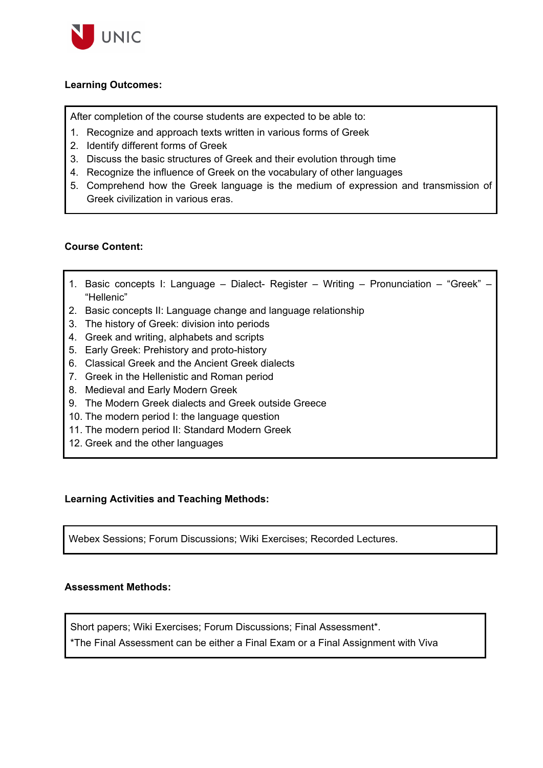

#### **Learning Outcomes:**

After completion of the course students are expected to be able to:

- 1. Recognize and approach texts written in various forms of Greek
- 2. Identify different forms of Greek
- 3. Discuss the basic structures of Greek and their evolution through time
- 4. Recognize the influence of Greek on the vocabulary of other languages
- 5. Comprehend how the Greek language is the medium of expression and transmission of Greek civilization in various eras.

#### **Course Content:**

- 1. Basic concepts I: Language Dialect- Register Writing Pronunciation "Greek" "Hellenic"
- 2. Basic concepts II: Language change and language relationship
- 3. The history of Greek: division into periods
- 4. Greek and writing, alphabets and scripts
- 5. Early Greek: Prehistory and proto-history
- 6. Classical Greek and the Ancient Greek dialects
- 7. Greek in the Hellenistic and Roman period
- 8. Medieval and Early Modern Greek
- 9. The Modern Greek dialects and Greek outside Greece
- 10. The modern period I: the language question
- 11. The modern period II: Standard Modern Greek
- 12. Greek and the other languages

#### **Learning Activities and Teaching Methods:**

Webex Sessions; Forum Discussions; Wiki Exercises; Recorded Lectures.

#### **Assessment Methods:**

Short papers; Wiki Exercises; Forum Discussions; Final Assessment\*.

\*The Final Assessment can be either a Final Exam or a Final Assignment with Viva